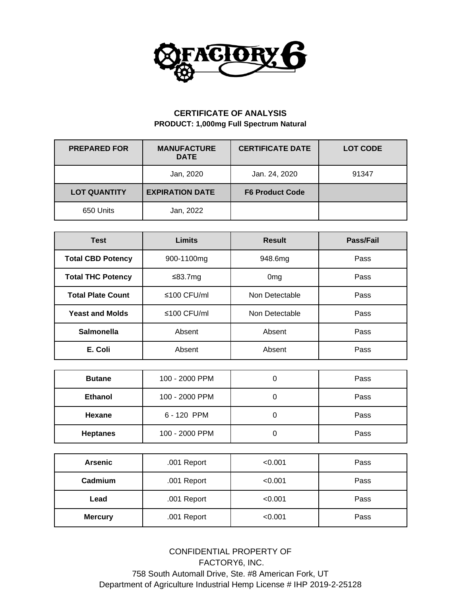

## **CERTIFICATE OF ANALYSIS PRODUCT: 1,000mg Full Spectrum Natural**

| <b>PREPARED FOR</b> | <b>MANUFACTURE</b><br><b>DATE</b> | <b>CERTIFICATE DATE</b> | <b>LOT CODE</b> |
|---------------------|-----------------------------------|-------------------------|-----------------|
|                     | Jan, 2020                         | Jan. 24, 2020           | 91347           |
| <b>LOT QUANTITY</b> | <b>EXPIRATION DATE</b>            | <b>F6 Product Code</b>  |                 |
| 650 Units           | Jan, 2022                         |                         |                 |

| <b>Test</b>              | <b>Limits</b>                       | <b>Result</b>   | Pass/Fail |  |
|--------------------------|-------------------------------------|-----------------|-----------|--|
| <b>Total CBD Potency</b> | 900-1100mg<br>948.6mg               |                 | Pass      |  |
| <b>Total THC Potency</b> | ≤83.7mg                             | 0 <sub>mg</sub> | Pass      |  |
| <b>Total Plate Count</b> | $\leq 100$ CFU/ml<br>Non Detectable |                 | Pass      |  |
| <b>Yeast and Molds</b>   | $\leq 100$ CFU/ml<br>Non Detectable |                 | Pass      |  |
| <b>Salmonella</b>        | Absent                              | Absent<br>Pass  |           |  |
| E. Coli                  | Absent                              | Absent<br>Pass  |           |  |

| <b>Butane</b>   | 100 - 2000 PPM |  | Pass |  |  |
|-----------------|----------------|--|------|--|--|
| <b>Ethanol</b>  | 100 - 2000 PPM |  |      |  |  |
| Hexane          | 6 - 120 PPM    |  | Pass |  |  |
| <b>Heptanes</b> | 100 - 2000 PPM |  | Pass |  |  |

| <b>Arsenic</b>                | .001 Report            | < 0.001 | Pass |  |
|-------------------------------|------------------------|---------|------|--|
| Cadmium                       | .001 Report            | < 0.001 | Pass |  |
| Lead                          | .001 Report<br>< 0.001 |         | Pass |  |
| .001 Report<br><b>Mercury</b> |                        | < 0.001 | Pass |  |

CONFIDENTIAL PROPERTY OF FACTORY6, INC. 758 South Automall Drive, Ste. #8 American Fork, UT Department of Agriculture Industrial Hemp License # IHP 2019-2-25128